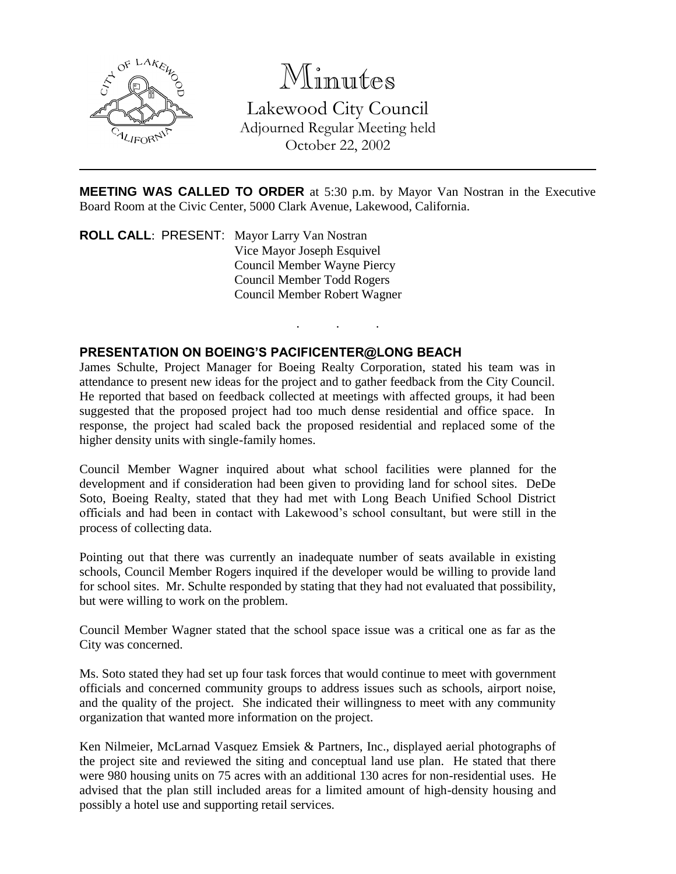

Minutes

Lakewood City Council Adjourned Regular Meeting held October 22, 2002

**MEETING WAS CALLED TO ORDER** at 5:30 p.m. by Mayor Van Nostran in the Executive Board Room at the Civic Center, 5000 Clark Avenue, Lakewood, California.

. . .

**ROLL CALL**: PRESENT: Mayor Larry Van Nostran Vice Mayor Joseph Esquivel Council Member Wayne Piercy Council Member Todd Rogers Council Member Robert Wagner

## **PRESENTATION ON BOEING'S PACIFICENTER@LONG BEACH**

James Schulte, Project Manager for Boeing Realty Corporation, stated his team was in attendance to present new ideas for the project and to gather feedback from the City Council. He reported that based on feedback collected at meetings with affected groups, it had been suggested that the proposed project had too much dense residential and office space. In response, the project had scaled back the proposed residential and replaced some of the higher density units with single-family homes.

Council Member Wagner inquired about what school facilities were planned for the development and if consideration had been given to providing land for school sites. DeDe Soto, Boeing Realty, stated that they had met with Long Beach Unified School District officials and had been in contact with Lakewood's school consultant, but were still in the process of collecting data.

Pointing out that there was currently an inadequate number of seats available in existing schools, Council Member Rogers inquired if the developer would be willing to provide land for school sites. Mr. Schulte responded by stating that they had not evaluated that possibility, but were willing to work on the problem.

Council Member Wagner stated that the school space issue was a critical one as far as the City was concerned.

Ms. Soto stated they had set up four task forces that would continue to meet with government officials and concerned community groups to address issues such as schools, airport noise, and the quality of the project. She indicated their willingness to meet with any community organization that wanted more information on the project.

Ken Nilmeier, McLarnad Vasquez Emsiek & Partners, Inc., displayed aerial photographs of the project site and reviewed the siting and conceptual land use plan. He stated that there were 980 housing units on 75 acres with an additional 130 acres for non-residential uses. He advised that the plan still included areas for a limited amount of high-density housing and possibly a hotel use and supporting retail services.